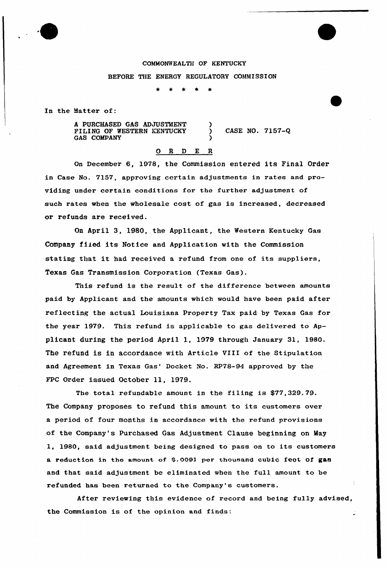## COMMONWEALTH OF KENTUCKY BEFORE THE ENERGY REGULATORY COMMISSION

)

)

In the Matter of:

A PURCHASED GAS ADJUSTMENT FILING OF WESTERN KENTUCKY GAS COMPANY

) CASE NO. 7157-Q

## 0 R <sup>D</sup> E <sup>R</sup>

On December 6, 1978, the Commission entered its Final Order in Case No. 7157, approving certain adjustments in rates and providing under certain conditions for the further adjustment of such rates when the wholesale cost of gas is increased, decreased or refunds are received.

On April 3, 19&0, the Applicant, the Western Kentucky Gas Company filed its Notice and Application with the Commission stating that it had received <sup>a</sup> refund from one of its suppliers, Texas Gas Transmission Corporation (Texas Gas).

This refund is the result of the difference between amounts paid by Applicant and the amounts which would have been paid after reflecting the actual Louisiana Property Tax paid by Texas Gas for the year 1979. This refund is applicable to gas delivered to Applicant during the period April 1, 1979 through January 31, 1980. The refund is in accordance with Article VIII of the Stipulation and Agreement in Texas Gas' Docket No. RP78-94 approved by the FPC Order issued October ll, 1979.

The total refundable amount in the filing is \$77,329.79. The Company proposes to refund this amount to its customers over a period of four months in accordance with the refund provisions of the Company's Purchased Gas Adjustment Clause beginning on May 1, 1980, said adjustment being designed to pass on to its customers a reduction in the amount of \$.0091 per thousand cubic feet of gas and that said adjustment be eliminated when the full amount to be refunded has been returned to the Company's customers.

After reviewing this evidence of record and being fully advised, the Commission is of the opinion and finds: